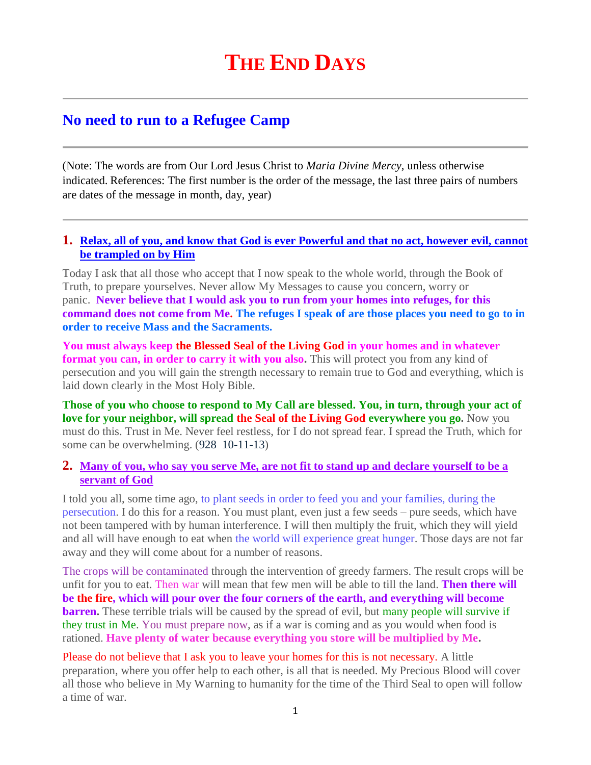# **THE END DAYS**

## **No need to run to a Refugee Camp**

(Note: The words are from Our Lord Jesus Christ to *Maria Divine Mercy*, unless otherwise indicated. References: The first number is the order of the message, the last three pairs of numbers are dates of the message in month, day, year)

#### **1. [Relax, all of you, and know that God is ever Powerful and that no act, however evil, cannot](http://www.thewarningsecondcoming.com/relax-all-of-you-and-know-that-god-is-ever-powerful-and-that-no-act-however-evil-cannot-be-trampled-on-by-him/)  [be trampled on by Him](http://www.thewarningsecondcoming.com/relax-all-of-you-and-know-that-god-is-ever-powerful-and-that-no-act-however-evil-cannot-be-trampled-on-by-him/)**

Today I ask that all those who accept that I now speak to the whole world, through the Book of Truth, to prepare yourselves. Never allow My Messages to cause you concern, worry or panic. **Never believe that I would ask you to run from your homes into refuges, for this command does not come from Me. The refuges I speak of are those places you need to go to in order to receive Mass and the Sacraments.**

**You must always keep the Blessed Seal of the Living God in your homes and in whatever format you can, in order to carry it with you also.** This will protect you from any kind of persecution and you will gain the strength necessary to remain true to God and everything, which is laid down clearly in the Most Holy Bible.

**Those of you who choose to respond to My Call are blessed. You, in turn, through your act of love for your neighbor, will spread the Seal of the Living God everywhere you go.** Now you must do this. Trust in Me. Never feel restless, for I do not spread fear. I spread the Truth, which for some can be overwhelming. (928 10-11-13)

#### **2. [Many of you, who say you serve Me, are not fit to stand up and declare yourself to be a](http://www.thewarningsecondcoming.com/many-of-you-who-say-you-serve-me-are-not-fit-to-stand-up-and-declare-yourself-to-be-a-servant-of-god/)  [servant of God](http://www.thewarningsecondcoming.com/many-of-you-who-say-you-serve-me-are-not-fit-to-stand-up-and-declare-yourself-to-be-a-servant-of-god/)**

I told you all, some time ago, to plant seeds in order to feed you and your families, during the persecution. I do this for a reason. You must plant, even just a few seeds – pure seeds, which have not been tampered with by human interference. I will then multiply the fruit, which they will yield and all will have enough to eat when the world will experience great hunger. Those days are not far away and they will come about for a number of reasons.

The crops will be contaminated through the intervention of greedy farmers. The result crops will be unfit for you to eat. Then war will mean that few men will be able to till the land. **Then there will be the fire, which will pour over the four corners of the earth, and everything will become barren.** These terrible trials will be caused by the spread of evil, but many people will survive if they trust in Me. You must prepare now, as if a war is coming and as you would when food is rationed. **Have plenty of water because everything you store will be multiplied by Me.**

Please do not believe that I ask you to leave your homes for this is not necessary. A little preparation, where you offer help to each other, is all that is needed. My Precious Blood will cover all those who believe in My Warning to humanity for the time of the Third Seal to open will follow a time of war.